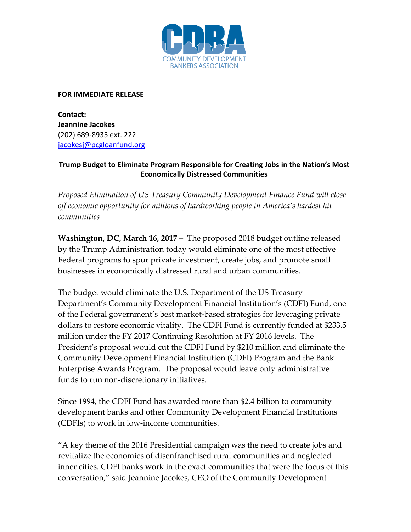

## **FOR IMMEDIATE RELEASE**

**Contact: Jeannine Jacokes** (202) 689-8935 ext. 222 [jacokesj@pcgloanfund.org](mailto:jacokesj@pcgloanfund.org)

## **Trump Budget to Eliminate Program Responsible for Creating Jobs in the Nation's Most Economically Distressed Communities**

*Proposed Elimination of US Treasury Community Development Finance Fund will close off economic opportunity for millions of hardworking people in America's hardest hit communities* 

**Washington, DC, March 16, 2017 –** The proposed 2018 budget outline released by the Trump Administration today would eliminate one of the most effective Federal programs to spur private investment, create jobs, and promote small businesses in economically distressed rural and urban communities.

The budget would eliminate the U.S. Department of the US Treasury Department's Community Development Financial Institution's (CDFI) Fund, one of the Federal government's best market-based strategies for leveraging private dollars to restore economic vitality. The CDFI Fund is currently funded at \$233.5 million under the FY 2017 Continuing Resolution at FY 2016 levels. The President's proposal would cut the CDFI Fund by \$210 million and eliminate the Community Development Financial Institution (CDFI) Program and the Bank Enterprise Awards Program. The proposal would leave only administrative funds to run non-discretionary initiatives.

Since 1994, the CDFI Fund has awarded more than \$2.4 billion to community development banks and other Community Development Financial Institutions (CDFIs) to work in low-income communities.

"A key theme of the 2016 Presidential campaign was the need to create jobs and revitalize the economies of disenfranchised rural communities and neglected inner cities. CDFI banks work in the exact communities that were the focus of this conversation," said Jeannine Jacokes, CEO of the Community Development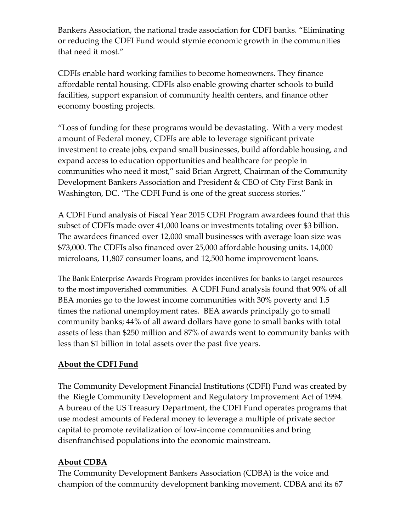Bankers Association, the national trade association for CDFI banks. "Eliminating or reducing the CDFI Fund would stymie economic growth in the communities that need it most."

CDFIs enable hard working families to become homeowners. They finance affordable rental housing. CDFIs also enable growing charter schools to build facilities, support expansion of community health centers, and finance other economy boosting projects.

"Loss of funding for these programs would be devastating. With a very modest amount of Federal money, CDFIs are able to leverage significant private investment to create jobs, expand small businesses, build affordable housing, and expand access to education opportunities and healthcare for people in communities who need it most," said Brian Argrett, Chairman of the Community Development Bankers Association and President & CEO of City First Bank in Washington, DC. "The CDFI Fund is one of the great success stories."

A CDFI Fund analysis of Fiscal Year 2015 CDFI Program awardees found that this subset of CDFIs made over 41,000 loans or investments totaling over \$3 billion. The awardees financed over 12,000 small businesses with average loan size was \$73,000. The CDFIs also financed over 25,000 affordable housing units. 14,000 microloans, 11,807 consumer loans, and 12,500 home improvement loans.

The Bank Enterprise Awards Program provides incentives for banks to target resources to the most impoverished communities. A CDFI Fund analysis found that 90% of all BEA monies go to the lowest income communities with 30% poverty and 1.5 times the national unemployment rates. BEA awards principally go to small community banks; 44% of all award dollars have gone to small banks with total assets of less than \$250 million and 87% of awards went to community banks with less than \$1 billion in total assets over the past five years.

## **About the CDFI Fund**

The Community Development Financial Institutions (CDFI) Fund was created by the Riegle Community Development and Regulatory Improvement Act of 1994. A bureau of the US Treasury Department, the CDFI Fund operates programs that use modest amounts of Federal money to leverage a multiple of private sector capital to promote revitalization of low-income communities and bring disenfranchised populations into the economic mainstream.

## **About CDBA**

The Community Development Bankers Association (CDBA) is the voice and champion of the community development banking movement. CDBA and its 67